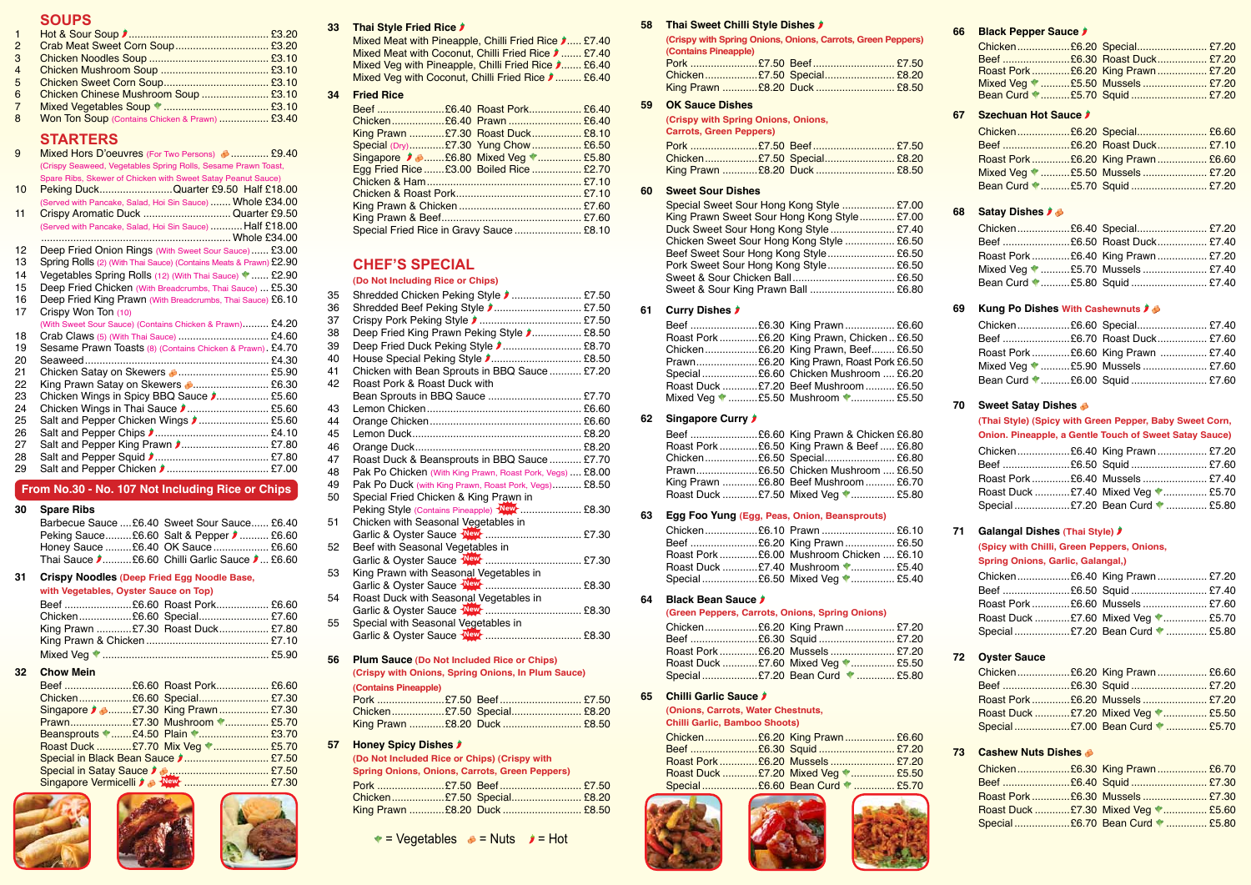### **Soups**

| $\overline{1}$ |                                                |  |
|----------------|------------------------------------------------|--|
| $\overline{2}$ |                                                |  |
| -3             |                                                |  |
| $\overline{4}$ |                                                |  |
| -5             |                                                |  |
| -6             | Chicken Chinese Mushroom Soup  £3.10           |  |
| $\overline{7}$ |                                                |  |
| -8             | Won Ton Soup (Contains Chicken & Prawn)  £3.40 |  |
|                |                                                |  |

### **Starters**

| 9  | Mixed Hors D'oeuvres (For Two Persons) 3  £9.40<br>(Crispy Seaweed, Vegetables Spring Rolls, Sesame Prawn Toast, |
|----|------------------------------------------------------------------------------------------------------------------|
|    | Spare Ribs, Skewer of Chicken with Sweet Satay Peanut Sauce)                                                     |
| 10 | Peking DuckQuarter £9.50 Half £18.00                                                                             |
|    | (Served with Pancake, Salad, Hoi Sin Sauce)  Whole £34.00                                                        |
| 11 | Crispy Aromatic Duck Quarter £9.50                                                                               |
|    | (Served with Pancake, Salad, Hoi Sin Sauce)  Half £18.00                                                         |
|    |                                                                                                                  |
| 12 | Deep Fried Onion Rings (With Sweet Sour Sauce) £3.00                                                             |
| 13 | Spring Rolls (2) (With Thai Sauce) (Contains Meats & Prawn) £2.90                                                |
| 14 | Vegetables Spring Rolls (12) (With Thai Sauce) V  £2.90                                                          |
| 15 | Deep Fried Chicken (With Breadcrumbs, Thai Sauce)  £5.30                                                         |
| 16 | Deep Fried King Prawn (With Breadcrumbs, Thai Sauce) £6.10                                                       |
| 17 | Crispy Won Ton (10)                                                                                              |
|    | (With Sweet Sour Sauce) (Contains Chicken & Prawn) £4.20                                                         |
| 18 | Crab Claws (5) (With Thai Sauce)  £4.60                                                                          |
| 19 | Sesame Prawn Toasts (8) (Contains Chicken & Prawn). £4.70                                                        |
| 20 |                                                                                                                  |
| 21 | Chicken Satay on Skewers <b>3</b> £5.90                                                                          |
| 22 | King Prawn Satay on Skewers 3 £6.30                                                                              |
| 23 | Chicken Wings in Spicy BBQ Sauce <b>J</b> £5.60                                                                  |
| 24 |                                                                                                                  |
| 25 | Salt and Pepper Chicken Wings <b>(2008)</b> £5.60                                                                |
| 26 |                                                                                                                  |
| 27 | Salt and Pepper King Prawn <b>J</b> £7.80                                                                        |
| 28 |                                                                                                                  |
| 29 |                                                                                                                  |

#### **From No.30 - No. 107 Not Including Rice or Chips**

#### **30 Spare Ribs**

| Barbecue Sauce  £6.40 Sweet Sour Sauce  £6.40       |
|-----------------------------------------------------|
| Peking Sauce£6.60 Salt & Pepper $\rightarrow$ £6.60 |
| Honey Sauce £6.40 OK Sauce  £6.60                   |
| Thai Sauce D£6.60 Chilli Garlic Sauce D £6.60       |

#### **31 Crispy Noodles (Deep Fried Egg Noodle Base,**

#### **with Vegetables, Oyster Sauce on Top)**

|  | Chicken£6.60 Special £7.60        |  |
|--|-----------------------------------|--|
|  | King Prawn £7.30 Roast Duck £7.80 |  |
|  |                                   |  |
|  |                                   |  |

#### **32 Chow Mein**

| Chicken£6.60 Special £7.30                                                                       |  |  |
|--------------------------------------------------------------------------------------------------|--|--|
| Singapore 2 3£7.30 King Prawn £7.30                                                              |  |  |
| Prawn£7.30 Mushroom 1 £5.70                                                                      |  |  |
|                                                                                                  |  |  |
| Roast Duck £7.70 Mix Veg  £5.70                                                                  |  |  |
| Special in Black Bean Sauce $\blacktriangleright$ £7.50                                          |  |  |
| Special in Satay Sauce $\bigcup_{i=1}^{n}$ (2011) Special in Satay Sauce $\bigcup_{i=1}^{n}$ (30 |  |  |
|                                                                                                  |  |  |





#### **33 Thai Style Fried Rice**

Mixed Meat with Pineapple, Chilli Fried Rice  $\lambda$ ..... £7.40 Mixed Meat with Coconut, Chilli Fried Rice  $\blacktriangleright$  ....... £7.40 Mixed Veg with Pineapple, Chilli Fried Rice  $\lambda$ ....... £6.40 Mixed Veg with Coconut, Chilli Fried Rice  $\blacktriangleright$  ......... £6.40

#### **34 Fried Rice**

| King Prawn £7.30 Roast Duck £8.10        |  |
|------------------------------------------|--|
| Special (Dry)£7.30 Yung Chow £6.50       |  |
|                                          |  |
| Egg Fried Rice £3.00 Boiled Rice  £2.70  |  |
|                                          |  |
|                                          |  |
|                                          |  |
|                                          |  |
| Special Fried Rice in Gravy Sauce  £8.10 |  |

### **Chef's Special**

#### **(Do Not Including Rice or Chips)**

| 35 | Shredded Chicken Peking Style <b>Change 10</b> manuscript 27.50 |  |
|----|-----------------------------------------------------------------|--|
| 36 | Shredded Beef Peking Style 2 £7.50                              |  |
| 37 |                                                                 |  |
| 38 | Deep Fried King Prawn Peking Style <b>J</b> £8.50               |  |
| 39 | Deep Fried Duck Peking Style <i>▶</i> £8.70                     |  |
| 40 | House Special Peking Style ♪ £8.50                              |  |
| 41 | Chicken with Bean Sprouts in BBQ Sauce £7.20                    |  |
| 42 | Roast Pork & Roast Duck with                                    |  |
|    | Bean Sprouts in BBQ Sauce  £7.70                                |  |
| 43 |                                                                 |  |
| 44 |                                                                 |  |
| 45 |                                                                 |  |
| 46 |                                                                 |  |
| 47 | Roast Duck & Beansprouts in BBQ Sauce  £7.70                    |  |
| 48 | Pak Po Chicken (With King Prawn, Roast Pork, Vegs)  £8.00       |  |
| 49 | Pak Po Duck (with King Prawn, Roast Pork, Vegs) £8.50           |  |
| 50 | Special Fried Chicken & King Prawn in                           |  |
|    | Peking Style (Contains Pineapple) New <b>Container 198.30</b>   |  |
| 51 | Chicken with Seasonal Vegetables in                             |  |
|    |                                                                 |  |
| 52 | Beef with Seasonal Vegetables in                                |  |
|    |                                                                 |  |
| 53 | King Prawn with Seasonal Vegetables in                          |  |
|    |                                                                 |  |
| 54 | Roast Duck with Seasonal Vegetables in                          |  |
|    |                                                                 |  |
| 55 | Special with Seasonal Vegetables in                             |  |
|    |                                                                 |  |
|    |                                                                 |  |

**56 Plum Sauce (Do Not Included Rice or Chips) (Crispy with Onions, Spring Onions, In Plum Sauce) (Contains Pineapple)**

|  |  | Chicken£7.50 Special £8.20   |
|--|--|------------------------------|
|  |  | King Prawn £8.20 Duck  £8.50 |

### **57 Honey Spicy Dishes**

**(Do Not Included Rice or Chips) (Crispy with Spring Onions, Onions, Carrots, Green Peppers)**

|  | <b>Prince Chrono, University, Utility, University Chronol</b> |  |
|--|---------------------------------------------------------------|--|
|  |                                                               |  |
|  | Chicken£7.50 Special £8.20                                    |  |
|  | King Prawn £8.20 Duck  £8.50                                  |  |
|  |                                                               |  |

#### **58 Thai Sweet Chilli Style Dishes**

|                      | (Crispy with Spring Onions, Onions, Carrots, Green Peppers) |
|----------------------|-------------------------------------------------------------|
| (Contains Pineapple) |                                                             |
|                      |                                                             |

|  | Chicken£7.50 Special £8.20   |  |
|--|------------------------------|--|
|  | King Prawn £8.20 Duck  £8.50 |  |

#### **59 OK Sauce Dishes**

| (Crispy with Spring Onions, Onions,<br><b>Carrots, Green Peppers)</b> |  |  |                              |
|-----------------------------------------------------------------------|--|--|------------------------------|
|                                                                       |  |  |                              |
|                                                                       |  |  |                              |
|                                                                       |  |  | King Prawn £8.20 Duck  £8.50 |

#### **60 Sweet Sour Dishes**

| Special Sweet Sour Hong Kong Style  £7.00   |  |
|---------------------------------------------|--|
| King Prawn Sweet Sour Hong Kong Style £7.00 |  |
| Duck Sweet Sour Hong Kong Style  £7.40      |  |
| Chicken Sweet Sour Hong Kong Style  £6.50   |  |
| Beef Sweet Sour Hong Kong Style £6.50       |  |
| Pork Sweet Sour Hong Kong Style £6.50       |  |
|                                             |  |
|                                             |  |

#### **61 Curry Dishes**

| Beef £6.30 King Prawn £6.60                 |
|---------------------------------------------|
| Roast Pork £6.20 King Prawn, Chicken  £6.50 |
| Chicken£6.20 King Prawn, Beef £6.50         |
|                                             |
| Special £6.60 Chicken Mushroom  £6.20       |
| Roast Duck £7.20 Beef Mushroom  £6.50       |
| Mixed Veg 1£5.50 Mushroom 1 £5.50           |

#### **62 Singapore Curry**

| Beef £6.60 King Prawn & Chicken £6.80<br>Roast Pork  £6.50 King Prawn & Beef  £6.80<br>Chicken£6.50 Special £6.80 |
|-------------------------------------------------------------------------------------------------------------------|
| King Prawn £6.80 Beef Mushroom  £6.70                                                                             |
| Roast Duck £7.50 Mixed Veg  £5.80                                                                                 |

#### **63 Egg Foo Yung (Egg, Peas, Onion, Beansprouts)**

|  | Roast Pork £6.00 Mushroom Chicken  £6.10 |  |
|--|------------------------------------------|--|
|  | Roast Duck £7.40 Mushroom  £5.40         |  |
|  |                                          |  |

#### **64 Black Bean Sauce**

#### **(Green Peppers, Carrots, Onions, Spring Onions)**

|  | Chicken£6.20 King Prawn £7.20    |  |
|--|----------------------------------|--|
|  |                                  |  |
|  | Roast Pork  £6.20 Mussels  £7.20 |  |
|  |                                  |  |
|  | Special£7.20 Bean Curd \: £5.80  |  |

#### **65 Chilli Garlic Sauce**

**(Onions, Carrots, Water Chestnuts,**

#### **Chilli Garlic, Bamboo Shoots)**

|  | Chicken£6.20 King Prawn £6.60<br>Roast Pork  £6.20 Mussels  £7.20<br>Roast Duck £7.20 Mixed Veg  £5.50<br>Special£6.60 Bean Curd 1 £5.70 |
|--|------------------------------------------------------------------------------------------------------------------------------------------|







| 66 | <b>Black Pepper Sauce J</b>                |  |                                                         |  |  |
|----|--------------------------------------------|--|---------------------------------------------------------|--|--|
|    |                                            |  | Chicken£6.20 Special £7.20                              |  |  |
|    |                                            |  | Beef £6.30 Roast Duck £7.20                             |  |  |
|    |                                            |  | Roast Pork  £6.20 King Prawn  £7.20                     |  |  |
|    |                                            |  | Mixed Veg 1 £5.50 Mussels  £7.20                        |  |  |
|    |                                            |  |                                                         |  |  |
| 67 | Szechuan Hot Sauce                         |  |                                                         |  |  |
|    |                                            |  | Chicken£6.20 Special £6.60                              |  |  |
|    |                                            |  | Beef £6.20 Roast Duck £7.10                             |  |  |
|    |                                            |  | Roast Pork £6.20 King Prawn  £6.60                      |  |  |
|    |                                            |  | Mixed Veg 1£5.50 Mussels £7.20                          |  |  |
|    |                                            |  | Bean Curd 1£5.70 Squid  £7.20                           |  |  |
| 68 | <b>Satay Dishes <i>I</i></b>               |  |                                                         |  |  |
|    |                                            |  | Chicken£6.40 Special £7.20                              |  |  |
|    |                                            |  | Beef £6.50 Roast Duck  £7.40                            |  |  |
|    |                                            |  |                                                         |  |  |
|    |                                            |  | Roast Pork £6.40 King Prawn  £7.20                      |  |  |
|    |                                            |  | Mixed Veg 1£5.70 Mussels  £7.40                         |  |  |
|    |                                            |  | Bean Curd 1£5.80 Squid  £7.40                           |  |  |
| 69 | Kung Po Dishes With Cashewnuts <i>I</i> ♦  |  |                                                         |  |  |
|    |                                            |  | Chicken£6.60 Special £7.40                              |  |  |
|    |                                            |  | Beef £6.70 Roast Duck £7.60                             |  |  |
|    |                                            |  | Roast Pork £6.60 King Prawn  £7.40                      |  |  |
|    |                                            |  | Mixed Veg 1£5.90 Mussels  £7.60                         |  |  |
|    |                                            |  |                                                         |  |  |
|    |                                            |  | Bean Curd 1£6.00 Squid  £7.60                           |  |  |
| 70 | Sweet Satay Dishes                         |  |                                                         |  |  |
|    |                                            |  | (Thai Style) (Spicy with Green Pepper, Baby Sweet Corn, |  |  |
|    |                                            |  | Onion. Pineapple, a Gentle Touch of Sweet Satay Sauce)  |  |  |
|    |                                            |  | Chicken£6.40 King Prawn £7.20                           |  |  |
|    |                                            |  | Beef £6.50 Squid  £7.60                                 |  |  |
|    |                                            |  | Roast Pork £6.40 Mussels  £7.40                         |  |  |
|    |                                            |  | Roast Duck £7.40 Mixed Veg * £5.70                      |  |  |
|    |                                            |  | Special£7.20 Bean Curd \, £5.80                         |  |  |
|    |                                            |  |                                                         |  |  |
| 71 | <b>Galangal Dishes (Thai Style)</b>        |  |                                                         |  |  |
|    | (Spicy with Chilli, Green Peppers, Onions, |  |                                                         |  |  |
|    | <b>Spring Onions, Garlic, Galangal,)</b>   |  |                                                         |  |  |
|    |                                            |  | Chicken£6.40 King Prawn £7.20                           |  |  |
|    |                                            |  | Beef £6.50 Squid  £7.40                                 |  |  |
|    |                                            |  | Roast Pork £6.60 Mussels  £7.60                         |  |  |
|    |                                            |  | Roast Duck £7.60 Mixed Veg  £5.70                       |  |  |
|    |                                            |  | Special £7.20 Bean Curd \,  £5.80                       |  |  |
|    |                                            |  |                                                         |  |  |
| 72 | <b>Oyster Sauce</b>                        |  |                                                         |  |  |
|    |                                            |  | Chicken£6.20 King Prawn £6.60                           |  |  |
|    |                                            |  | Beef £6.30 Squid  £7.20                                 |  |  |
|    |                                            |  | Roast Pork £6.20 Mussels  £7.20                         |  |  |
|    |                                            |  | Roast Duck £7.20 Mixed Veg  £5.50                       |  |  |
|    |                                            |  | Special £7.00 Bean Curd \,  £5.70                       |  |  |
|    | <b>Cashew Nuts Dishes &amp;</b>            |  |                                                         |  |  |
| 73 |                                            |  |                                                         |  |  |
|    |                                            |  |                                                         |  |  |
|    |                                            |  | Chicken£6.30 King Prawn £6.70                           |  |  |
|    |                                            |  | Beef £6.40 Squid  £7.30                                 |  |  |
|    |                                            |  | Roast Pork £6.30 Mussels  £7.30                         |  |  |
|    |                                            |  | Roast Duck £7.30 Mixed Veg  £5.60                       |  |  |
|    |                                            |  | Special£6.70 Bean Curd  £5.80                           |  |  |